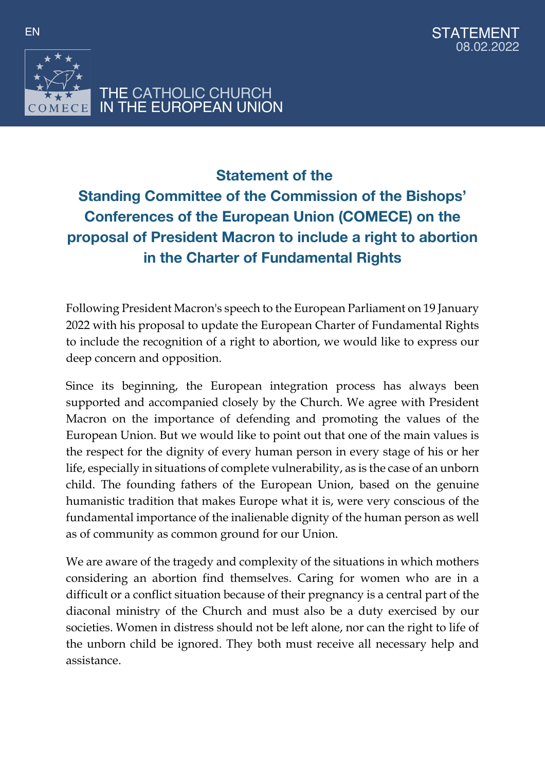



## **Statement of the Standing Committee of the Commission of the Bishops' Conferences of the European Union (COMECE) on the proposal of President Macron to include a right to abortion in the Charter of Fundamental Rights**

Following President Macron's speech to the European Parliament on 19 January 2022 with his proposal to update the European Charter of Fundamental Rights to include the recognition of a right to abortion, we would like to express our deep concern and opposition.

Since its beginning, the European integration process has always been supported and accompanied closely by the Church. We agree with President Macron on the importance of defending and promoting the values of the European Union. But we would like to point out that one of the main values is the respect for the dignity of every human person in every stage of his or her life, especially in situations of complete vulnerability, as is the case of an unborn child. The founding fathers of the European Union, based on the genuine humanistic tradition that makes Europe what it is, were very conscious of the fundamental importance of the inalienable dignity of the human person as well as of community as common ground for our Union.

We are aware of the tragedy and complexity of the situations in which mothers considering an abortion find themselves. Caring for women who are in a difficult or a conflict situation because of their pregnancy is a central part of the diaconal ministry of the Church and must also be a duty exercised by our societies. Women in distress should not be left alone, nor can the right to life of the unborn child be ignored. They both must receive all necessary help and assistance.